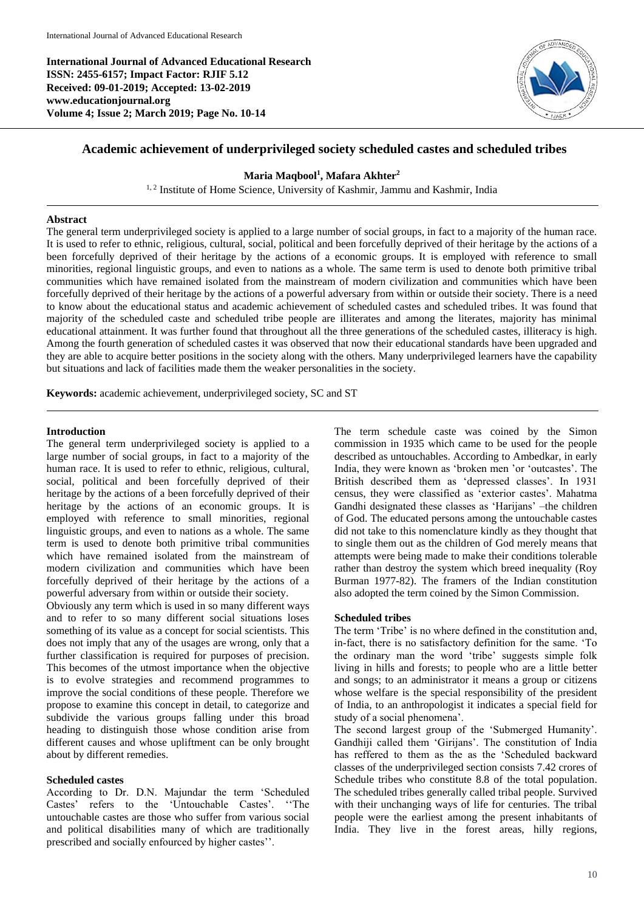**International Journal of Advanced Educational Research ISSN: 2455-6157; Impact Factor: RJIF 5.12 Received: 09-01-2019; Accepted: 13-02-2019 www.educationjournal.org Volume 4; Issue 2; March 2019; Page No. 10-14**



# **Academic achievement of underprivileged society scheduled castes and scheduled tribes**

**Maria Maqbool<sup>1</sup> , Mafara Akhter<sup>2</sup>**

<sup>1, 2</sup> Institute of Home Science, University of Kashmir, Jammu and Kashmir, India

#### **Abstract**

The general term underprivileged society is applied to a large number of social groups, in fact to a majority of the human race. It is used to refer to ethnic, religious, cultural, social, political and been forcefully deprived of their heritage by the actions of a been forcefully deprived of their heritage by the actions of a economic groups. It is employed with reference to small minorities, regional linguistic groups, and even to nations as a whole. The same term is used to denote both primitive tribal communities which have remained isolated from the mainstream of modern civilization and communities which have been forcefully deprived of their heritage by the actions of a powerful adversary from within or outside their society. There is a need to know about the educational status and academic achievement of scheduled castes and scheduled tribes. It was found that majority of the scheduled caste and scheduled tribe people are illiterates and among the literates, majority has minimal educational attainment. It was further found that throughout all the three generations of the scheduled castes, illiteracy is high. Among the fourth generation of scheduled castes it was observed that now their educational standards have been upgraded and they are able to acquire better positions in the society along with the others. Many underprivileged learners have the capability but situations and lack of facilities made them the weaker personalities in the society.

**Keywords:** academic achievement, underprivileged society, SC and ST

#### **Introduction**

The general term underprivileged society is applied to a large number of social groups, in fact to a majority of the human race. It is used to refer to ethnic, religious, cultural, social, political and been forcefully deprived of their heritage by the actions of a been forcefully deprived of their heritage by the actions of an economic groups. It is employed with reference to small minorities, regional linguistic groups, and even to nations as a whole. The same term is used to denote both primitive tribal communities which have remained isolated from the mainstream of modern civilization and communities which have been forcefully deprived of their heritage by the actions of a powerful adversary from within or outside their society.

Obviously any term which is used in so many different ways and to refer to so many different social situations loses something of its value as a concept for social scientists. This does not imply that any of the usages are wrong, only that a further classification is required for purposes of precision. This becomes of the utmost importance when the objective is to evolve strategies and recommend programmes to improve the social conditions of these people. Therefore we propose to examine this concept in detail, to categorize and subdivide the various groups falling under this broad heading to distinguish those whose condition arise from different causes and whose upliftment can be only brought about by different remedies.

## **Scheduled castes**

According to Dr. D.N. Majundar the term 'Scheduled Castes' refers to the 'Untouchable Castes'. ''The untouchable castes are those who suffer from various social and political disabilities many of which are traditionally prescribed and socially enfourced by higher castes''.

The term schedule caste was coined by the Simon commission in 1935 which came to be used for the people described as untouchables. According to Ambedkar, in early India, they were known as 'broken men 'or 'outcastes'. The British described them as 'depressed classes'. In 1931 census, they were classified as 'exterior castes'. Mahatma Gandhi designated these classes as 'Harijans' –the children of God. The educated persons among the untouchable castes did not take to this nomenclature kindly as they thought that to single them out as the children of God merely means that attempts were being made to make their conditions tolerable rather than destroy the system which breed inequality (Roy Burman 1977-82). The framers of the Indian constitution also adopted the term coined by the Simon Commission.

## **Scheduled tribes**

The term 'Tribe' is no where defined in the constitution and, in-fact, there is no satisfactory definition for the same. 'To the ordinary man the word 'tribe' suggests simple folk living in hills and forests; to people who are a little better and songs; to an administrator it means a group or citizens whose welfare is the special responsibility of the president of India, to an anthropologist it indicates a special field for study of a social phenomena'.

The second largest group of the 'Submerged Humanity'. Gandhiji called them 'Girijans'. The constitution of India has reffered to them as the as the 'Scheduled backward classes of the underprivileged section consists 7.42 crores of Schedule tribes who constitute 8.8 of the total population. The scheduled tribes generally called tribal people. Survived with their unchanging ways of life for centuries. The tribal people were the earliest among the present inhabitants of India. They live in the forest areas, hilly regions,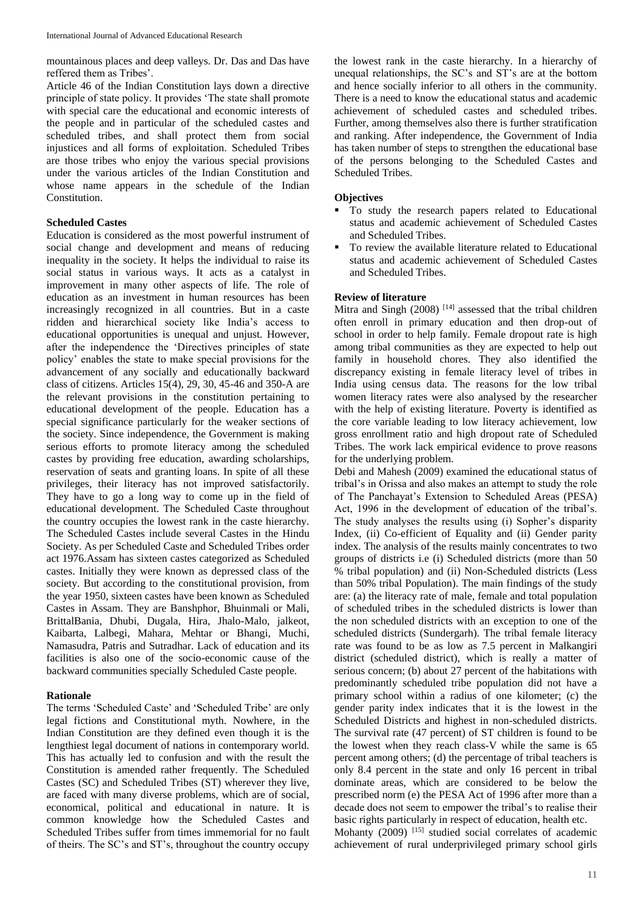mountainous places and deep valleys. Dr. Das and Das have reffered them as Tribes'.

Article 46 of the Indian Constitution lays down a directive principle of state policy. It provides 'The state shall promote with special care the educational and economic interests of the people and in particular of the scheduled castes and scheduled tribes, and shall protect them from social injustices and all forms of exploitation. Scheduled Tribes are those tribes who enjoy the various special provisions under the various articles of the Indian Constitution and whose name appears in the schedule of the Indian Constitution.

## **Scheduled Castes**

Education is considered as the most powerful instrument of social change and development and means of reducing inequality in the society. It helps the individual to raise its social status in various ways. It acts as a catalyst in improvement in many other aspects of life. The role of education as an investment in human resources has been increasingly recognized in all countries. But in a caste ridden and hierarchical society like India's access to educational opportunities is unequal and unjust. However, after the independence the 'Directives principles of state policy' enables the state to make special provisions for the advancement of any socially and educationally backward class of citizens. Articles 15(4), 29, 30, 45-46 and 350-A are the relevant provisions in the constitution pertaining to educational development of the people. Education has a special significance particularly for the weaker sections of the society. Since independence, the Government is making serious efforts to promote literacy among the scheduled castes by providing free education, awarding scholarships, reservation of seats and granting loans. In spite of all these privileges, their literacy has not improved satisfactorily. They have to go a long way to come up in the field of educational development. The Scheduled Caste throughout the country occupies the lowest rank in the caste hierarchy. The Scheduled Castes include several Castes in the Hindu Society. As per Scheduled Caste and Scheduled Tribes order act 1976.Assam has sixteen castes categorized as Scheduled castes. Initially they were known as depressed class of the society. But according to the constitutional provision, from the year 1950, sixteen castes have been known as Scheduled Castes in Assam. They are Banshphor, Bhuinmali or Mali, BrittalBania, Dhubi, Dugala, Hira, Jhalo-Malo, jalkeot, Kaibarta, Lalbegi, Mahara, Mehtar or Bhangi, Muchi, Namasudra, Patris and Sutradhar. Lack of education and its facilities is also one of the socio-economic cause of the backward communities specially Scheduled Caste people.

## **Rationale**

The terms 'Scheduled Caste' and 'Scheduled Tribe' are only legal fictions and Constitutional myth. Nowhere, in the Indian Constitution are they defined even though it is the lengthiest legal document of nations in contemporary world. This has actually led to confusion and with the result the Constitution is amended rather frequently. The Scheduled Castes (SC) and Scheduled Tribes (ST) wherever they live, are faced with many diverse problems, which are of social, economical, political and educational in nature. It is common knowledge how the Scheduled Castes and Scheduled Tribes suffer from times immemorial for no fault of theirs. The SC's and ST's, throughout the country occupy

the lowest rank in the caste hierarchy. In a hierarchy of unequal relationships, the SC's and ST's are at the bottom and hence socially inferior to all others in the community. There is a need to know the educational status and academic achievement of scheduled castes and scheduled tribes. Further, among themselves also there is further stratification and ranking. After independence, the Government of India has taken number of steps to strengthen the educational base of the persons belonging to the Scheduled Castes and Scheduled Tribes.

## **Objectives**

- To study the research papers related to Educational status and academic achievement of Scheduled Castes and Scheduled Tribes.
- To review the available literature related to Educational status and academic achievement of Scheduled Castes and Scheduled Tribes.

#### **Review of literature**

Mitra and Singh  $(2008)$ <sup>[14]</sup> assessed that the tribal children often enroll in primary education and then drop-out of school in order to help family. Female dropout rate is high among tribal communities as they are expected to help out family in household chores. They also identified the discrepancy existing in female literacy level of tribes in India using census data. The reasons for the low tribal women literacy rates were also analysed by the researcher with the help of existing literature. Poverty is identified as the core variable leading to low literacy achievement, low gross enrollment ratio and high dropout rate of Scheduled Tribes. The work lack empirical evidence to prove reasons for the underlying problem.

Debi and Mahesh (2009) examined the educational status of tribal's in Orissa and also makes an attempt to study the role of The Panchayat's Extension to Scheduled Areas (PESA) Act, 1996 in the development of education of the tribal's. The study analyses the results using (i) Sopher's disparity Index, (ii) Co-efficient of Equality and (ii) Gender parity index. The analysis of the results mainly concentrates to two groups of districts i.e (i) Scheduled districts (more than 50 % tribal population) and (ii) Non-Scheduled districts (Less than 50% tribal Population). The main findings of the study are: (a) the literacy rate of male, female and total population of scheduled tribes in the scheduled districts is lower than the non scheduled districts with an exception to one of the scheduled districts (Sundergarh). The tribal female literacy rate was found to be as low as 7.5 percent in Malkangiri district (scheduled district), which is really a matter of serious concern; (b) about 27 percent of the habitations with predominantly scheduled tribe population did not have a primary school within a radius of one kilometer; (c) the gender parity index indicates that it is the lowest in the Scheduled Districts and highest in non-scheduled districts. The survival rate (47 percent) of ST children is found to be the lowest when they reach class-V while the same is 65 percent among others; (d) the percentage of tribal teachers is only 8.4 percent in the state and only 16 percent in tribal dominate areas, which are considered to be below the prescribed norm (e) the PESA Act of 1996 after more than a decade does not seem to empower the tribal's to realise their basic rights particularly in respect of education, health etc.

Mohanty (2009) <sup>[15]</sup> studied social correlates of academic achievement of rural underprivileged primary school girls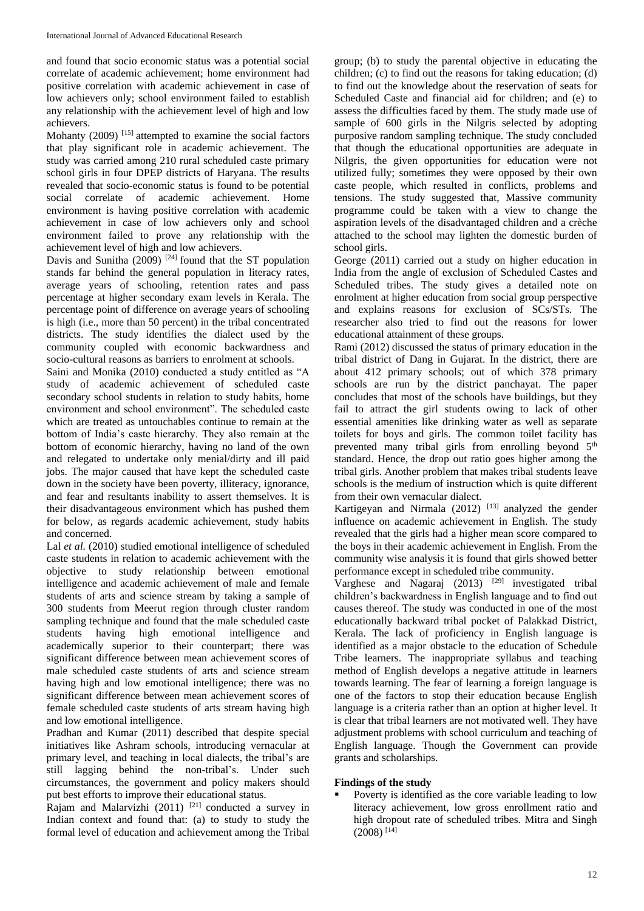and found that socio economic status was a potential social correlate of academic achievement; home environment had positive correlation with academic achievement in case of low achievers only; school environment failed to establish any relationship with the achievement level of high and low achievers.

Mohanty (2009)<sup>[15]</sup> attempted to examine the social factors that play significant role in academic achievement. The study was carried among 210 rural scheduled caste primary school girls in four DPEP districts of Haryana. The results revealed that socio-economic status is found to be potential social correlate of academic achievement. Home environment is having positive correlation with academic achievement in case of low achievers only and school environment failed to prove any relationship with the achievement level of high and low achievers.

Davis and Sunitha  $(2009)$ <sup>[24]</sup> found that the ST population stands far behind the general population in literacy rates, average years of schooling, retention rates and pass percentage at higher secondary exam levels in Kerala. The percentage point of difference on average years of schooling is high (i.e., more than 50 percent) in the tribal concentrated districts. The study identifies the dialect used by the community coupled with economic backwardness and socio-cultural reasons as barriers to enrolment at schools.

Saini and Monika (2010) conducted a study entitled as "A study of academic achievement of scheduled caste secondary school students in relation to study habits, home environment and school environment". The scheduled caste which are treated as untouchables continue to remain at the bottom of India's caste hierarchy. They also remain at the bottom of economic hierarchy, having no land of the own and relegated to undertake only menial/dirty and ill paid jobs. The major caused that have kept the scheduled caste down in the society have been poverty, illiteracy, ignorance, and fear and resultants inability to assert themselves. It is their disadvantageous environment which has pushed them for below, as regards academic achievement, study habits and concerned.

Lal *et al.* (2010) studied emotional intelligence of scheduled caste students in relation to academic achievement with the objective to study relationship between emotional intelligence and academic achievement of male and female students of arts and science stream by taking a sample of 300 students from Meerut region through cluster random sampling technique and found that the male scheduled caste students having high emotional intelligence and academically superior to their counterpart; there was significant difference between mean achievement scores of male scheduled caste students of arts and science stream having high and low emotional intelligence; there was no significant difference between mean achievement scores of female scheduled caste students of arts stream having high and low emotional intelligence.

Pradhan and Kumar (2011) described that despite special initiatives like Ashram schools, introducing vernacular at primary level, and teaching in local dialects, the tribal's are still lagging behind the non-tribal's. Under such circumstances, the government and policy makers should put best efforts to improve their educational status.

Rajam and Malarvizhi  $(2011)$ <sup>[21]</sup> conducted a survey in Indian context and found that: (a) to study to study the formal level of education and achievement among the Tribal

group; (b) to study the parental objective in educating the children; (c) to find out the reasons for taking education; (d) to find out the knowledge about the reservation of seats for Scheduled Caste and financial aid for children; and (e) to assess the difficulties faced by them. The study made use of sample of 600 girls in the Nilgris selected by adopting purposive random sampling technique. The study concluded that though the educational opportunities are adequate in Nilgris, the given opportunities for education were not utilized fully; sometimes they were opposed by their own caste people, which resulted in conflicts, problems and tensions. The study suggested that, Massive community programme could be taken with a view to change the aspiration levels of the disadvantaged children and a crèche attached to the school may lighten the domestic burden of school girls.

George (2011) carried out a study on higher education in India from the angle of exclusion of Scheduled Castes and Scheduled tribes. The study gives a detailed note on enrolment at higher education from social group perspective and explains reasons for exclusion of SCs/STs. The researcher also tried to find out the reasons for lower educational attainment of these groups.

Rami (2012) discussed the status of primary education in the tribal district of Dang in Gujarat. In the district, there are about 412 primary schools; out of which 378 primary schools are run by the district panchayat. The paper concludes that most of the schools have buildings, but they fail to attract the girl students owing to lack of other essential amenities like drinking water as well as separate toilets for boys and girls. The common toilet facility has prevented many tribal girls from enrolling beyond 5<sup>th</sup> standard. Hence, the drop out ratio goes higher among the tribal girls. Another problem that makes tribal students leave schools is the medium of instruction which is quite different from their own vernacular dialect.

Kartigeyan and Nirmala  $(2012)$ <sup>[13]</sup> analyzed the gender influence on academic achievement in English. The study revealed that the girls had a higher mean score compared to the boys in their academic achievement in English. From the community wise analysis it is found that girls showed better performance except in scheduled tribe community.

Varghese and Nagaraj (2013) <sup>[29]</sup> investigated tribal children's backwardness in English language and to find out causes thereof. The study was conducted in one of the most educationally backward tribal pocket of Palakkad District, Kerala. The lack of proficiency in English language is identified as a major obstacle to the education of Schedule Tribe learners. The inappropriate syllabus and teaching method of English develops a negative attitude in learners towards learning. The fear of learning a foreign language is one of the factors to stop their education because English language is a criteria rather than an option at higher level. It is clear that tribal learners are not motivated well. They have adjustment problems with school curriculum and teaching of English language. Though the Government can provide grants and scholarships.

#### **Findings of the study**

 Poverty is identified as the core variable leading to low literacy achievement, low gross enrollment ratio and high dropout rate of scheduled tribes. Mitra and Singh (2008) [14]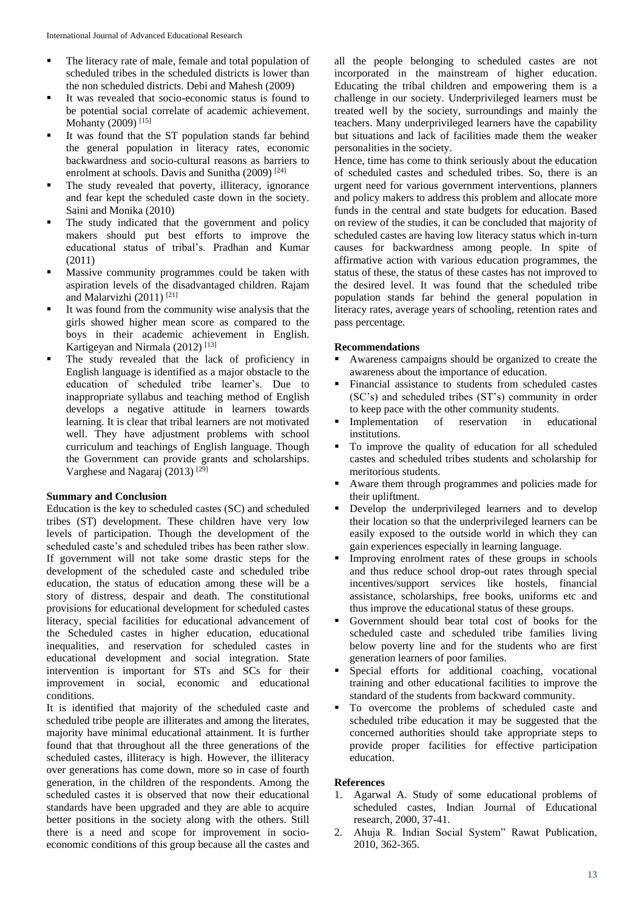- The literacy rate of male, female and total population of scheduled tribes in the scheduled districts is lower than the non scheduled districts. Debi and Mahesh (2009)
- It was revealed that socio-economic status is found to be potential social correlate of academic achievement. Mohanty (2009)<sup>[15]</sup>
- It was found that the ST population stands far behind the general population in literacy rates, economic backwardness and socio-cultural reasons as barriers to enrolment at schools. Davis and Sunitha (2009) [24]
- The study revealed that poverty, illiteracy, ignorance and fear kept the scheduled caste down in the society. Saini and Monika (2010)
- The study indicated that the government and policy makers should put best efforts to improve the educational status of tribal's. Pradhan and Kumar (2011)
- **Massive community programmes could be taken with** aspiration levels of the disadvantaged children. Rajam and Malarvizhi (2011) [21]
- $\blacksquare$  It was found from the community wise analysis that the girls showed higher mean score as compared to the boys in their academic achievement in English. Kartigeyan and Nirmala  $(2012)$ <sup>[13]</sup>
- The study revealed that the lack of proficiency in English language is identified as a major obstacle to the education of scheduled tribe learner's. Due to inappropriate syllabus and teaching method of English develops a negative attitude in learners towards learning. It is clear that tribal learners are not motivated well. They have adjustment problems with school curriculum and teachings of English language. Though the Government can provide grants and scholarships. Varghese and Nagaraj (2013)<sup>[29]</sup>

## **Summary and Conclusion**

Education is the key to scheduled castes (SC) and scheduled tribes (ST) development. These children have very low levels of participation. Though the development of the scheduled caste's and scheduled tribes has been rather slow. If government will not take some drastic steps for the development of the scheduled caste and scheduled tribe education, the status of education among these will be a story of distress, despair and death. The constitutional provisions for educational development for scheduled castes literacy, special facilities for educational advancement of the Scheduled castes in higher education, educational inequalities, and reservation for scheduled castes in educational development and social integration. State intervention is important for STs and SCs for their improvement in social, economic and educational conditions.

It is identified that majority of the scheduled caste and scheduled tribe people are illiterates and among the literates, majority have minimal educational attainment. It is further found that that throughout all the three generations of the scheduled castes, illiteracy is high. However, the illiteracy over generations has come down, more so in case of fourth generation, in the children of the respondents. Among the scheduled castes it is observed that now their educational standards have been upgraded and they are able to acquire better positions in the society along with the others. Still there is a need and scope for improvement in socioeconomic conditions of this group because all the castes and

all the people belonging to scheduled castes are not incorporated in the mainstream of higher education. Educating the tribal children and empowering them is a challenge in our society. Underprivileged learners must be treated well by the society, surroundings and mainly the teachers. Many underprivileged learners have the capability but situations and lack of facilities made them the weaker personalities in the society.

Hence, time has come to think seriously about the education of scheduled castes and scheduled tribes. So, there is an urgent need for various government interventions, planners and policy makers to address this problem and allocate more funds in the central and state budgets for education. Based on review of the studies, it can be concluded that majority of scheduled castes are having low literacy status which in-turn causes for backwardness among people. In spite of affirmative action with various education programmes, the status of these, the status of these castes has not improved to the desired level. It was found that the scheduled tribe population stands far behind the general population in literacy rates, average years of schooling, retention rates and pass percentage.

#### **Recommendations**

- Awareness campaigns should be organized to create the awareness about the importance of education.
- Financial assistance to students from scheduled castes (SC's) and scheduled tribes (ST's) community in order to keep pace with the other community students.
- **Implementation** of reservation in educational institutions.
- To improve the quality of education for all scheduled castes and scheduled tribes students and scholarship for meritorious students.
- Aware them through programmes and policies made for their upliftment.
- Develop the underprivileged learners and to develop their location so that the underprivileged learners can be easily exposed to the outside world in which they can gain experiences especially in learning language.
- Improving enrolment rates of these groups in schools and thus reduce school drop-out rates through special incentives/support services like hostels, financial assistance, scholarships, free books, uniforms etc and thus improve the educational status of these groups.
- Government should bear total cost of books for the scheduled caste and scheduled tribe families living below poverty line and for the students who are first generation learners of poor families.
- Special efforts for additional coaching, vocational training and other educational facilities to improve the standard of the students from backward community.
- To overcome the problems of scheduled caste and scheduled tribe education it may be suggested that the concerned authorities should take appropriate steps to provide proper facilities for effective participation education.

#### **References**

- 1. Agarwal A. Study of some educational problems of scheduled castes, Indian Journal of Educational research, 2000, 37-41.
- 2. Ahuja R. Indian Social System" Rawat Publication, 2010, 362-365.